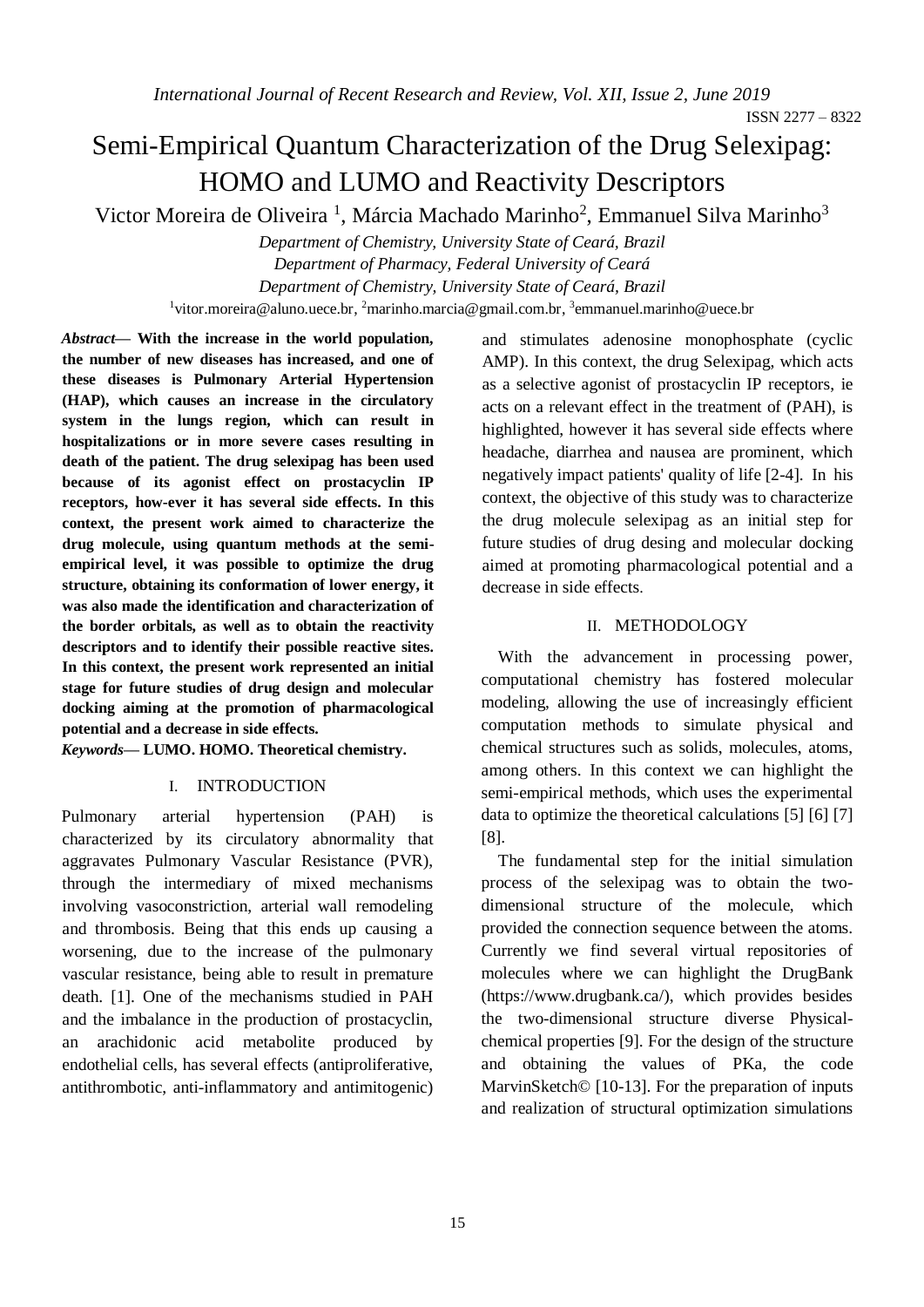# Semi-Empirical Quantum Characterization of the Drug Selexipag: HOMO and LUMO and Reactivity Descriptors

Victor Moreira de Oliveira<sup>1</sup>, Márcia Machado Marinho<sup>2</sup>, Emmanuel Silva Marinho<sup>3</sup>

*Department of Chemistry, University State of Ceará, Brazil Department of Pharmacy, Federal University of Ceará Department of Chemistry, University State of Ceará, Brazil* <sup>1</sup>[vitor.moreira@aluno.uece.br,](mailto:1vitor.moreira@aluno.uece.br) <sup>2</sup>[marinho.marcia@gmail.com.br,](mailto:2marinho.marcia@gmail.com.br) <sup>3</sup>emmanuel.marinho@uece.br

*Abstract***— With the increase in the world population, the number of new diseases has increased, and one of these diseases is Pulmonary Arterial Hypertension (HAP), which causes an increase in the circulatory system in the lungs region, which can result in hospitalizations or in more severe cases resulting in death of the patient. The drug selexipag has been used because of its agonist effect on prostacyclin IP receptors, how-ever it has several side effects. In this context, the present work aimed to characterize the drug molecule, using quantum methods at the semiempirical level, it was possible to optimize the drug structure, obtaining its conformation of lower energy, it was also made the identification and characterization of the border orbitals, as well as to obtain the reactivity descriptors and to identify their possible reactive sites. In this context, the present work represented an initial stage for future studies of drug design and molecular docking aiming at the promotion of pharmacological potential and a decrease in side effects.** 

*Keywords***— LUMO. HOMO. Theoretical chemistry.**

#### I. INTRODUCTION

Pulmonary arterial hypertension (PAH) is characterized by its circulatory abnormality that aggravates Pulmonary Vascular Resistance (PVR), through the intermediary of mixed mechanisms involving vasoconstriction, arterial wall remodeling and thrombosis. Being that this ends up causing a worsening, due to the increase of the pulmonary vascular resistance, being able to result in premature death. [1]. One of the mechanisms studied in PAH and the imbalance in the production of prostacyclin, an arachidonic acid metabolite produced by endothelial cells, has several effects (antiproliferative, antithrombotic, anti-inflammatory and antimitogenic)

and stimulates adenosine monophosphate (cyclic AMP). In this context, the drug Selexipag, which acts as a selective agonist of prostacyclin IP receptors, ie acts on a relevant effect in the treatment of (PAH), is highlighted, however it has several side effects where headache, diarrhea and nausea are prominent, which negatively impact patients' quality of life [2-4]. In his context, the objective of this study was to characterize the drug molecule selexipag as an initial step for future studies of drug desing and molecular docking aimed at promoting pharmacological potential and a decrease in side effects.

### II. METHODOLOGY

With the advancement in processing power, computational chemistry has fostered molecular modeling, allowing the use of increasingly efficient computation methods to simulate physical and chemical structures such as solids, molecules, atoms, among others. In this context we can highlight the semi-empirical methods, which uses the experimental data to optimize the theoretical calculations [5] [6] [7] [8].

The fundamental step for the initial simulation process of the selexipag was to obtain the twodimensional structure of the molecule, which provided the connection sequence between the atoms. Currently we find several virtual repositories of molecules where we can highlight the DrugBank (https://www.drugbank.ca/), which provides besides the two-dimensional structure diverse Physicalchemical properties [9]. For the design of the structure and obtaining the values of PKa, the code MarvinSketch© [10-13]. For the preparation of inputs and realization of structural optimization simulations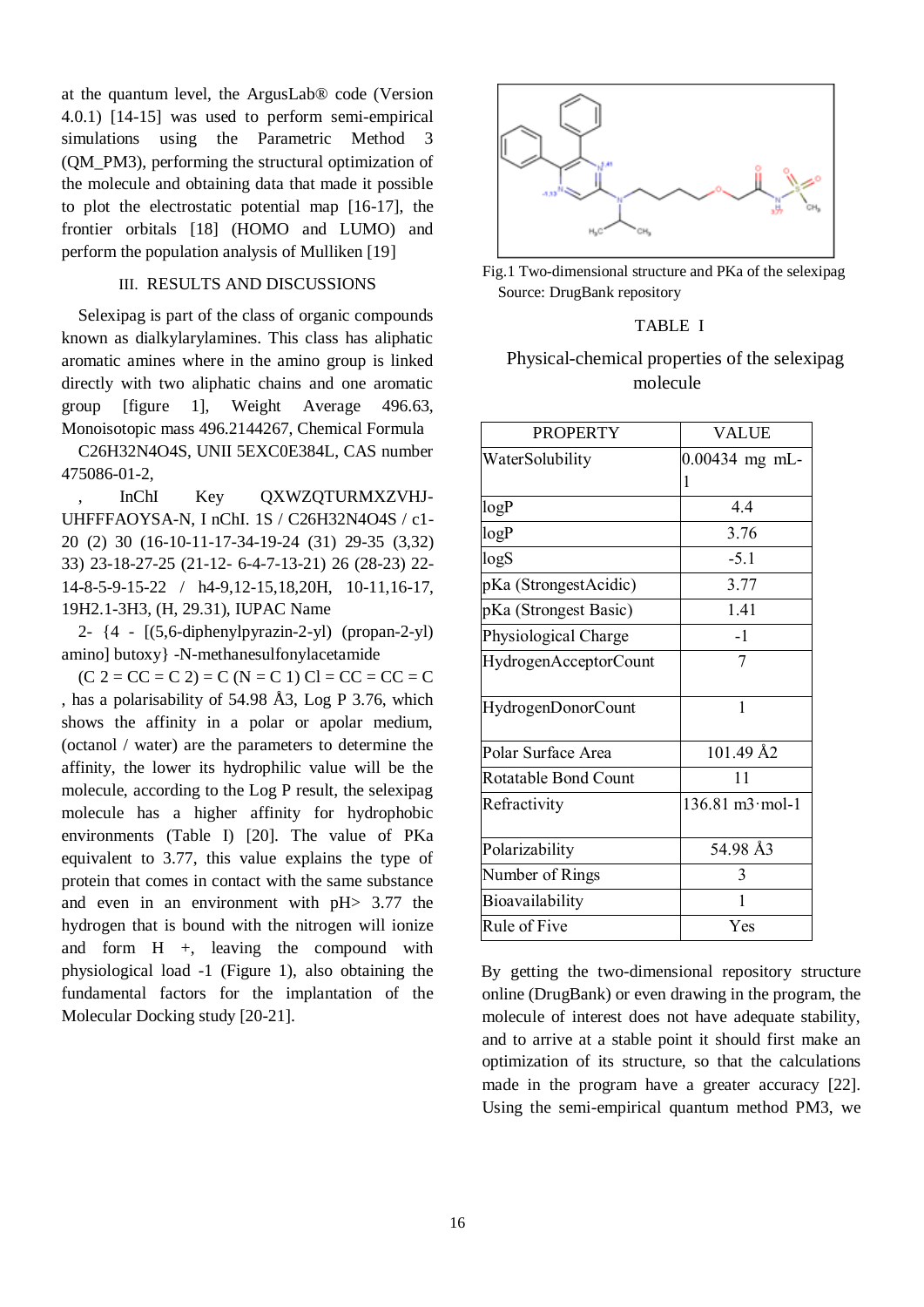at the quantum level, the ArgusLab® code (Version 4.0.1) [14-15] was used to perform semi-empirical simulations using the Parametric Method (QM\_PM3), performing the structural optimization of the molecule and obtaining data that made it possible to plot the electrostatic potential map [16-17], the frontier orbitals [18] (HOMO and LUMO) and perform the population analysis of Mulliken [19]

#### III. RESULTS AND DISCUSSIONS

Selexipag is part of the class of organic compounds known as dialkylarylamines. This class has aliphatic aromatic amines where in the amino group is linked directly with two aliphatic chains and one aromatic group [figure 1], Weight Average 496.63, Monoisotopic mass 496.2144267, Chemical Formula

C26H32N4O4S, UNII 5EXC0E384L, CAS number 475086-01-2,

InChI Key QXWZQTURMXZVHJ-UHFFFAOYSA-N, I nChI. 1S / C26H32N4O4S / c1- 20 (2) 30 (16-10-11-17-34-19-24 (31) 29-35 (3,32) 33) 23-18-27-25 (21-12- 6-4-7-13-21) 26 (28-23) 22- 14-8-5-9-15-22 / h4-9,12-15,18,20H, 10-11,16-17, 19H2.1-3H3, (H, 29.31), IUPAC Name

2- {4 - [(5,6-diphenylpyrazin-2-yl) (propan-2-yl) amino] butoxy} -N-methanesulfonylacetamide

 $(C 2 = CC = C 2) = C (N = C 1)  $Cl = CC = CC = C$$ , has a polarisability of 54.98 Å3, Log P 3.76, which shows the affinity in a polar or apolar medium, (octanol / water) are the parameters to determine the affinity, the lower its hydrophilic value will be the molecule, according to the Log P result, the selexipag molecule has a higher affinity for hydrophobic environments (Table I) [20]. The value of PKa equivalent to 3.77, this value explains the type of protein that comes in contact with the same substance and even in an environment with pH> 3.77 the hydrogen that is bound with the nitrogen will ionize and form  $H +$ , leaving the compound with physiological load -1 (Figure 1), also obtaining the fundamental factors for the implantation of the Molecular Docking study [20-21].



Fig.1 Two-dimensional structure and PKa of the selexipag Source: DrugBank repository

#### TABLE I

## Physical-chemical properties of the selexipag molecule

| <b>PROPERTY</b>       | <b>VALUE</b>                             |  |
|-----------------------|------------------------------------------|--|
| WaterSolubility       | 0.00434 mg mL-                           |  |
|                       | 1                                        |  |
| logP                  | 4.4                                      |  |
| logP                  | 3.76                                     |  |
| logS                  | $-5.1$                                   |  |
| pKa (StrongestAcidic) | 3.77                                     |  |
| pKa (Strongest Basic) | 1.41                                     |  |
| Physiological Charge  | $-1$                                     |  |
| HydrogenAcceptorCount | 7                                        |  |
| HydrogenDonorCount    | 1                                        |  |
| Polar Surface Area    | 101.49 Å2                                |  |
| Rotatable Bond Count  | 11                                       |  |
| Refractivity          | $136.81 \text{ m}3 \cdot \text{mol} - 1$ |  |
| Polarizability        | 54.98 Å3                                 |  |
| Number of Rings       | 3                                        |  |
| Bioavailability       | 1                                        |  |
| Rule of Five          | Yes                                      |  |

By getting the two-dimensional repository structure online (DrugBank) or even drawing in the program, the molecule of interest does not have adequate stability, and to arrive at a stable point it should first make an optimization of its structure, so that the calculations made in the program have a greater accuracy [22]. Using the semi-empirical quantum method PM3, we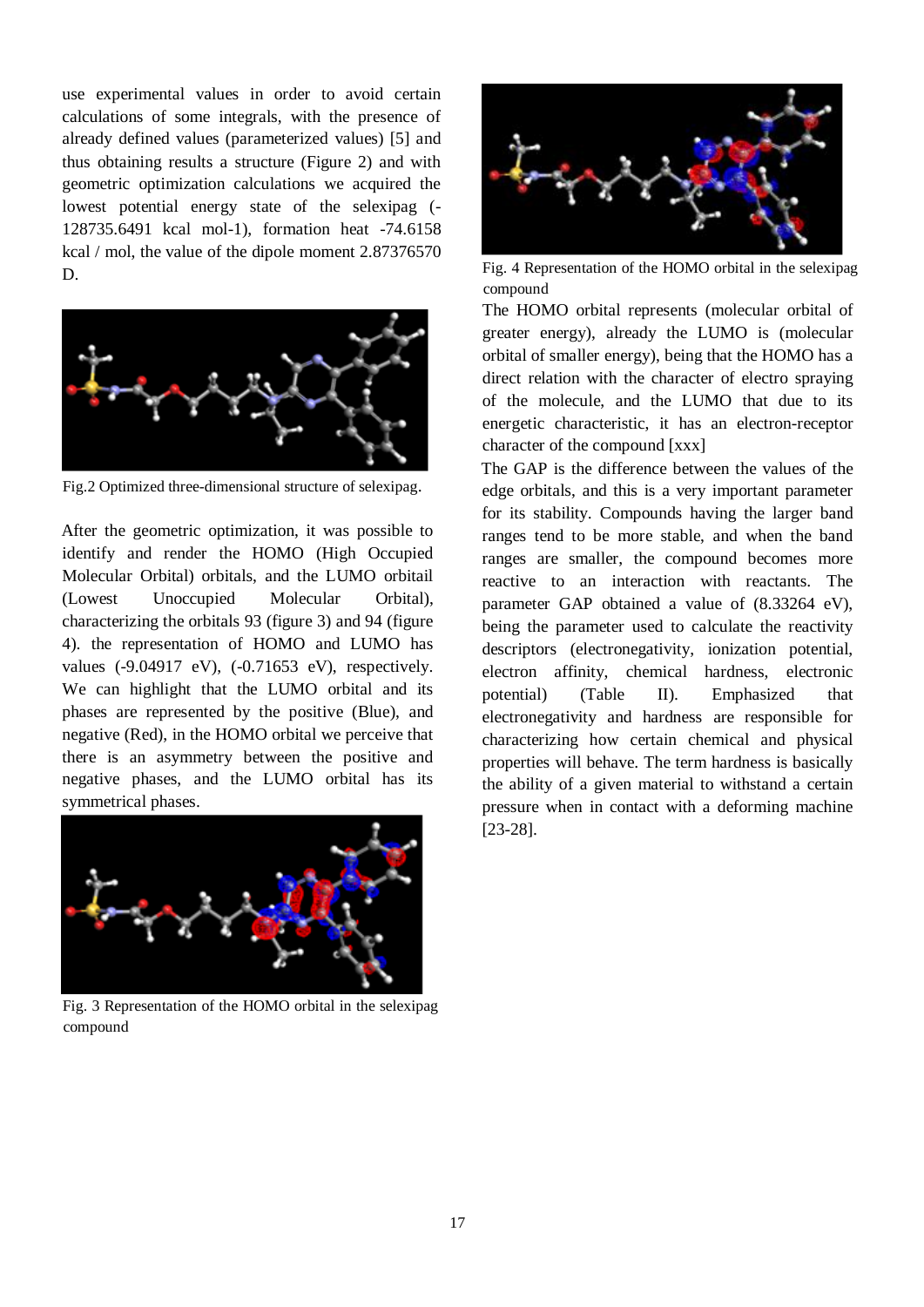use experimental values in order to avoid certain calculations of some integrals, with the presence of already defined values (parameterized values) [5] and thus obtaining results a structure (Figure 2) and with geometric optimization calculations we acquired the lowest potential energy state of the selexipag (- 128735.6491 kcal mol-1), formation heat -74.6158 kcal / mol, the value of the dipole moment 2.87376570 D.



Fig.2 Optimized three-dimensional structure of selexipag.

After the geometric optimization, it was possible to identify and render the HOMO (High Occupied Molecular Orbital) orbitals, and the LUMO orbitail (Lowest Unoccupied Molecular Orbital), characterizing the orbitals 93 (figure 3) and 94 (figure 4). the representation of HOMO and LUMO has values (-9.04917 eV), (-0.71653 eV), respectively. We can highlight that the LUMO orbital and its phases are represented by the positive (Blue), and negative (Red), in the HOMO orbital we perceive that there is an asymmetry between the positive and negative phases, and the LUMO orbital has its symmetrical phases.



Fig. 3 Representation of the HOMO orbital in the selexipag compound



Fig. 4 Representation of the HOMO orbital in the selexipag compound

The HOMO orbital represents (molecular orbital of greater energy), already the LUMO is (molecular orbital of smaller energy), being that the HOMO has a direct relation with the character of electro spraying of the molecule, and the LUMO that due to its energetic characteristic, it has an electron-receptor character of the compound [xxx]

The GAP is the difference between the values of the edge orbitals, and this is a very important parameter for its stability. Compounds having the larger band ranges tend to be more stable, and when the band ranges are smaller, the compound becomes more reactive to an interaction with reactants. The parameter GAP obtained a value of (8.33264 eV), being the parameter used to calculate the reactivity descriptors (electronegativity, ionization potential, electron affinity, chemical hardness, electronic potential) (Table II). Emphasized that electronegativity and hardness are responsible for characterizing how certain chemical and physical properties will behave. The term hardness is basically the ability of a given material to withstand a certain pressure when in contact with a deforming machine [23-28].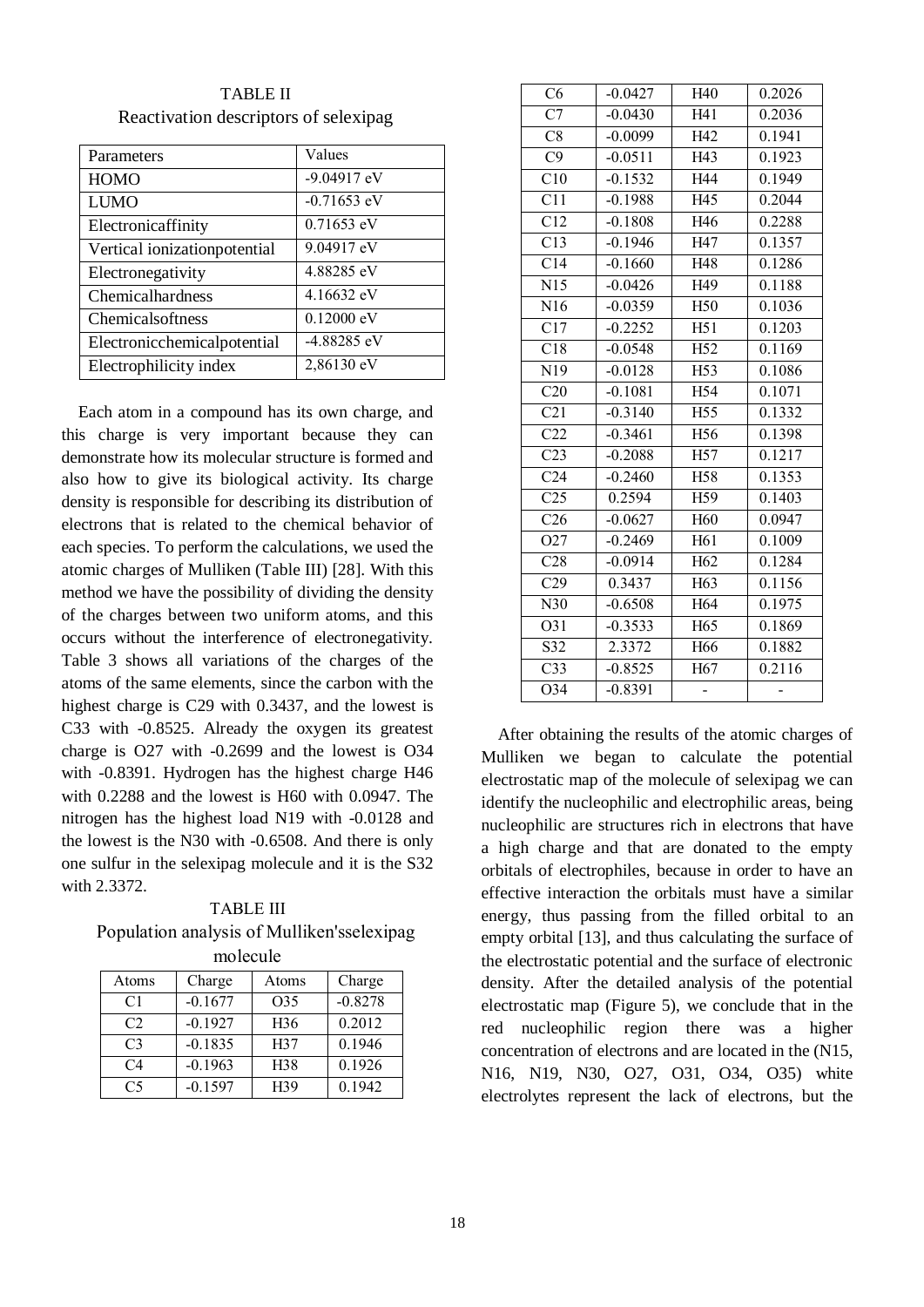| Parameters                   | Values               |
|------------------------------|----------------------|
| <b>HOMO</b>                  | $-9.04917$ eV        |
| LUMO                         | $-0.71653$ eV        |
| Electronicaffinity           | $0.71653$ eV         |
| Vertical ionizationpotential | 9.04917 eV           |
| Electronegativity            | 4.88285 eV           |
| Chemicalhardness             | 4.16632 eV           |
| <b>Chemicalsoftness</b>      | $0.12000 \text{ eV}$ |
| Electronicchemicalpotential  | $-4.88285$ eV        |
| Electrophilicity index       | 2,86130 eV           |

TABLE II Reactivation descriptors of selexipag

Each atom in a compound has its own charge, and this charge is very important because they can demonstrate how its molecular structure is formed and also how to give its biological activity. Its charge density is responsible for describing its distribution of electrons that is related to the chemical behavior of each species. To perform the calculations, we used the atomic charges of Mulliken (Table III) [28]. With this method we have the possibility of dividing the density of the charges between two uniform atoms, and this occurs without the interference of electronegativity. Table 3 shows all variations of the charges of the atoms of the same elements, since the carbon with the highest charge is C29 with 0.3437, and the lowest is C33 with -0.8525. Already the oxygen its greatest charge is O27 with -0.2699 and the lowest is O34 with -0.8391. Hydrogen has the highest charge H46 with 0.2288 and the lowest is H60 with 0.0947. The nitrogen has the highest load N19 with -0.0128 and the lowest is the N30 with -0.6508. And there is only one sulfur in the selexipag molecule and it is the S32 with 2.3372.

TABLE III Population analysis of Mulliken'sselexipag molecule

| Atoms          | Charge    | Atoms           | Charge    |  |  |
|----------------|-----------|-----------------|-----------|--|--|
| C <sub>1</sub> | $-0.1677$ | O35             | $-0.8278$ |  |  |
| C2             | $-0.1927$ | H <sub>36</sub> | 0.2012    |  |  |
| C <sub>3</sub> | $-0.1835$ | H37             | 0.1946    |  |  |
| C <sub>4</sub> | $-0.1963$ | H <sub>38</sub> | 0.1926    |  |  |
| C <sub>5</sub> | $-0.1597$ | H39             | 0.1942    |  |  |

| C6               | $-0.0427$ | H40             | 0.2026 |
|------------------|-----------|-----------------|--------|
| $\overline{C7}$  | $-0.0430$ | H41             | 0.2036 |
| C8               | $-0.0099$ | H42             | 0.1941 |
| C9               | $-0.0511$ | H43             | 0.1923 |
| C10              | $-0.1532$ | H44             | 0.1949 |
| $\overline{C11}$ | $-0.1988$ | H45             | 0.2044 |
| C12              | $-0.1808$ | H46             | 0.2288 |
| C13              | $-0.1946$ | H47             | 0.1357 |
| C14              | $-0.1660$ | H48             | 0.1286 |
| N15              | $-0.0426$ | H49             | 0.1188 |
| N16              | $-0.0359$ | H <sub>50</sub> | 0.1036 |
| C17              | $-0.2252$ | H51             | 0.1203 |
| $\overline{C18}$ | $-0.0548$ | H <sub>52</sub> | 0.1169 |
| N19              | $-0.0128$ | H <sub>53</sub> | 0.1086 |
| C20              | $-0.1081$ | H54             | 0.1071 |
| $\overline{C21}$ | $-0.3140$ | H <sub>55</sub> | 0.1332 |
| C22              | $-0.3461$ | H56             | 0.1398 |
| $\overline{C23}$ | $-0.2088$ | H <sub>57</sub> | 0.1217 |
| C <sub>24</sub>  | $-0.2460$ | H58             | 0.1353 |
| C <sub>25</sub>  | 0.2594    | H59             | 0.1403 |
| C <sub>26</sub>  | $-0.0627$ | H <sub>60</sub> | 0.0947 |
| O27              | $-0.2469$ | H61             | 0.1009 |
| $\overline{C28}$ | $-0.0914$ | H <sub>62</sub> | 0.1284 |
| C29              | 0.3437    | H63             | 0.1156 |
| N30              | $-0.6508$ | H <sub>64</sub> | 0.1975 |
| O31              | $-0.3533$ | H <sub>65</sub> | 0.1869 |
| S32              | 2.3372    | H66             | 0.1882 |
| C <sub>33</sub>  | $-0.8525$ | H <sub>67</sub> | 0.2116 |
| $\overline{O34}$ | $-0.8391$ |                 |        |

After obtaining the results of the atomic charges of Mulliken we began to calculate the potential electrostatic map of the molecule of selexipag we can identify the nucleophilic and electrophilic areas, being nucleophilic are structures rich in electrons that have a high charge and that are donated to the empty orbitals of electrophiles, because in order to have an effective interaction the orbitals must have a similar energy, thus passing from the filled orbital to an empty orbital [13], and thus calculating the surface of the electrostatic potential and the surface of electronic density. After the detailed analysis of the potential electrostatic map (Figure 5), we conclude that in the red nucleophilic region there was a higher concentration of electrons and are located in the (N15, N16, N19, N30, O27, O31, O34, O35) white electrolytes represent the lack of electrons, but the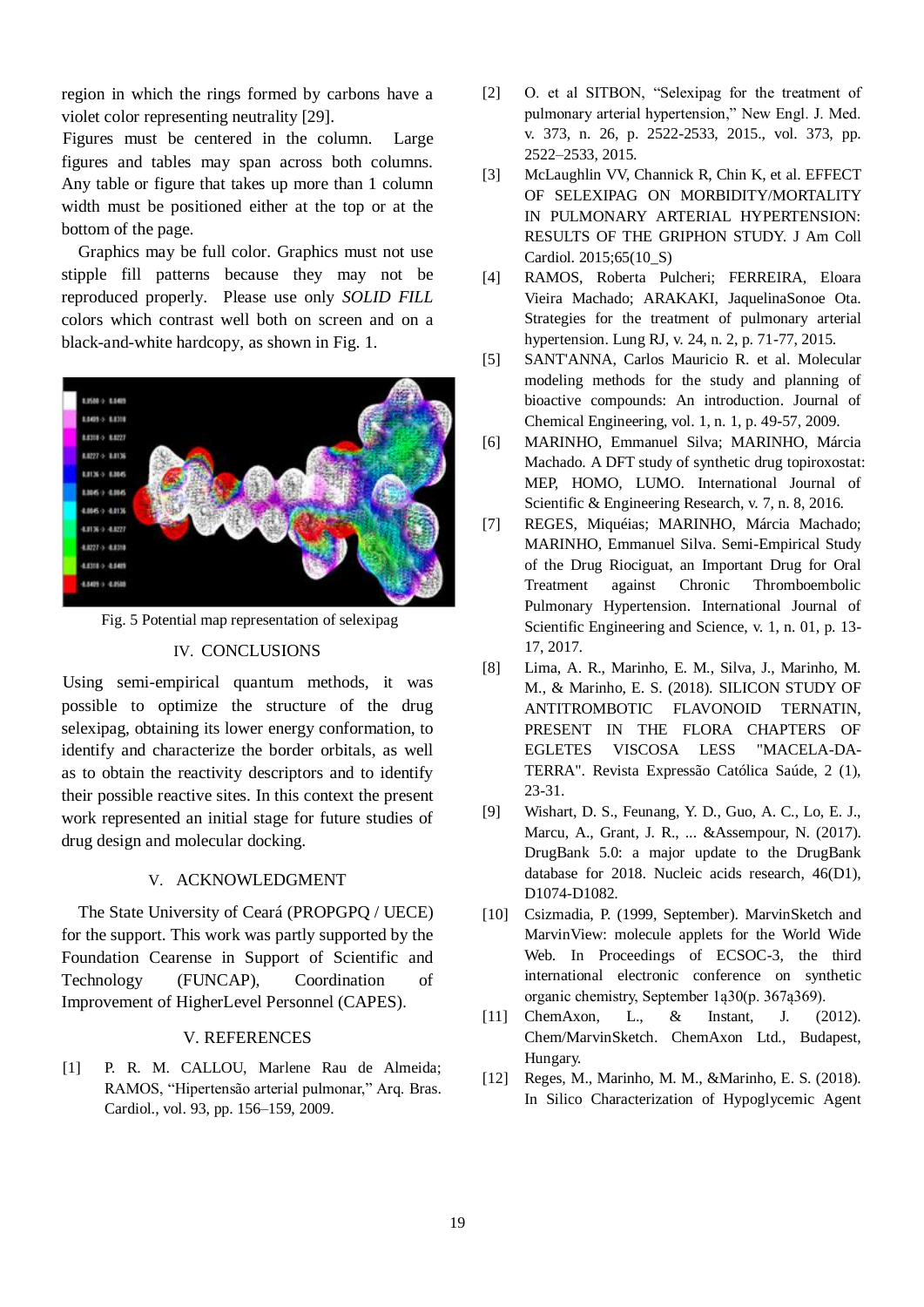region in which the rings formed by carbons have a violet color representing neutrality [29].

Figures must be centered in the column. Large figures and tables may span across both columns. Any table or figure that takes up more than 1 column width must be positioned either at the top or at the bottom of the page.

Graphics may be full color. Graphics must not use stipple fill patterns because they may not be reproduced properly. Please use only *SOLID FILL* colors which contrast well both on screen and on a black-and-white hardcopy, as shown in Fig. 1.



Fig. 5 Potential map representation of selexipag

#### IV. CONCLUSIONS

Using semi-empirical quantum methods, it was possible to optimize the structure of the drug selexipag, obtaining its lower energy conformation, to identify and characterize the border orbitals, as well as to obtain the reactivity descriptors and to identify their possible reactive sites. In this context the present work represented an initial stage for future studies of drug design and molecular docking.

#### V. ACKNOWLEDGMENT

The State University of Ceará (PROPGPQ / UECE) for the support. This work was partly supported by the Foundation Cearense in Support of Scientific and Technology (FUNCAP), Coordination of Improvement of HigherLevel Personnel (CAPES).

#### V. REFERENCES

[1] P. R. M. CALLOU, Marlene Rau de Almeida; RAMOS, "Hipertensão arterial pulmonar," Arq. Bras. Cardiol., vol. 93, pp. 156–159, 2009.

- [2] O. et al SITBON, "Selexipag for the treatment of pulmonary arterial hypertension," New Engl. J. Med. v. 373, n. 26, p. 2522-2533, 2015., vol. 373, pp. 2522–2533, 2015.
- [3] McLaughlin VV, Channick R, Chin K, et al. EFFECT OF SELEXIPAG ON MORBIDITY/MORTALITY IN PULMONARY ARTERIAL HYPERTENSION: RESULTS OF THE GRIPHON STUDY. J Am Coll Cardiol. 2015:65(10\_S)
- [4] RAMOS, Roberta Pulcheri; FERREIRA, Eloara Vieira Machado; ARAKAKI, JaquelinaSonoe Ota. Strategies for the treatment of pulmonary arterial hypertension. Lung RJ, v. 24, n. 2, p. 71-77, 2015.
- [5] SANT'ANNA, Carlos Mauricio R. et al. Molecular modeling methods for the study and planning of bioactive compounds: An introduction. Journal of Chemical Engineering, vol. 1, n. 1, p. 49-57, 2009.
- [6] MARINHO, Emmanuel Silva; MARINHO, Márcia Machado. A DFT study of synthetic drug topiroxostat: MEP, HOMO, LUMO. International Journal of Scientific & Engineering Research, v. 7, n. 8, 2016.
- [7] REGES, Miquéias; MARINHO, Márcia Machado; MARINHO, Emmanuel Silva. Semi-Empirical Study of the Drug Riociguat, an Important Drug for Oral Treatment against Chronic Thromboembolic Pulmonary Hypertension. International Journal of Scientific Engineering and Science, v. 1, n. 01, p. 13- 17, 2017.
- [8] Lima, A. R., Marinho, E. M., Silva, J., Marinho, M. M., & Marinho, E. S. (2018). SILICON STUDY OF ANTITROMBOTIC FLAVONOID TERNATIN, PRESENT IN THE FLORA CHAPTERS OF EGLETES VISCOSA LESS "MACELA-DA-TERRA". Revista Expressão Católica Saúde, 2 (1), 23-31.
- [9] Wishart, D. S., Feunang, Y. D., Guo, A. C., Lo, E. J., Marcu, A., Grant, J. R., ... &Assempour, N. (2017). DrugBank 5.0: a major update to the DrugBank database for 2018. Nucleic acids research, 46(D1), D1074-D1082.
- [10] Csizmadia, P. (1999, September). MarvinSketch and MarvinView: molecule applets for the World Wide Web. In Proceedings of ECSOC-3, the third international electronic conference on synthetic organic chemistry, September 1ą30(p. 367ą369).
- [11] ChemAxon, L., & Instant, J. (2012). Chem/MarvinSketch. ChemAxon Ltd., Budapest, Hungary.
- [12] Reges, M., Marinho, M. M., &Marinho, E. S. (2018). In Silico Characterization of Hypoglycemic Agent